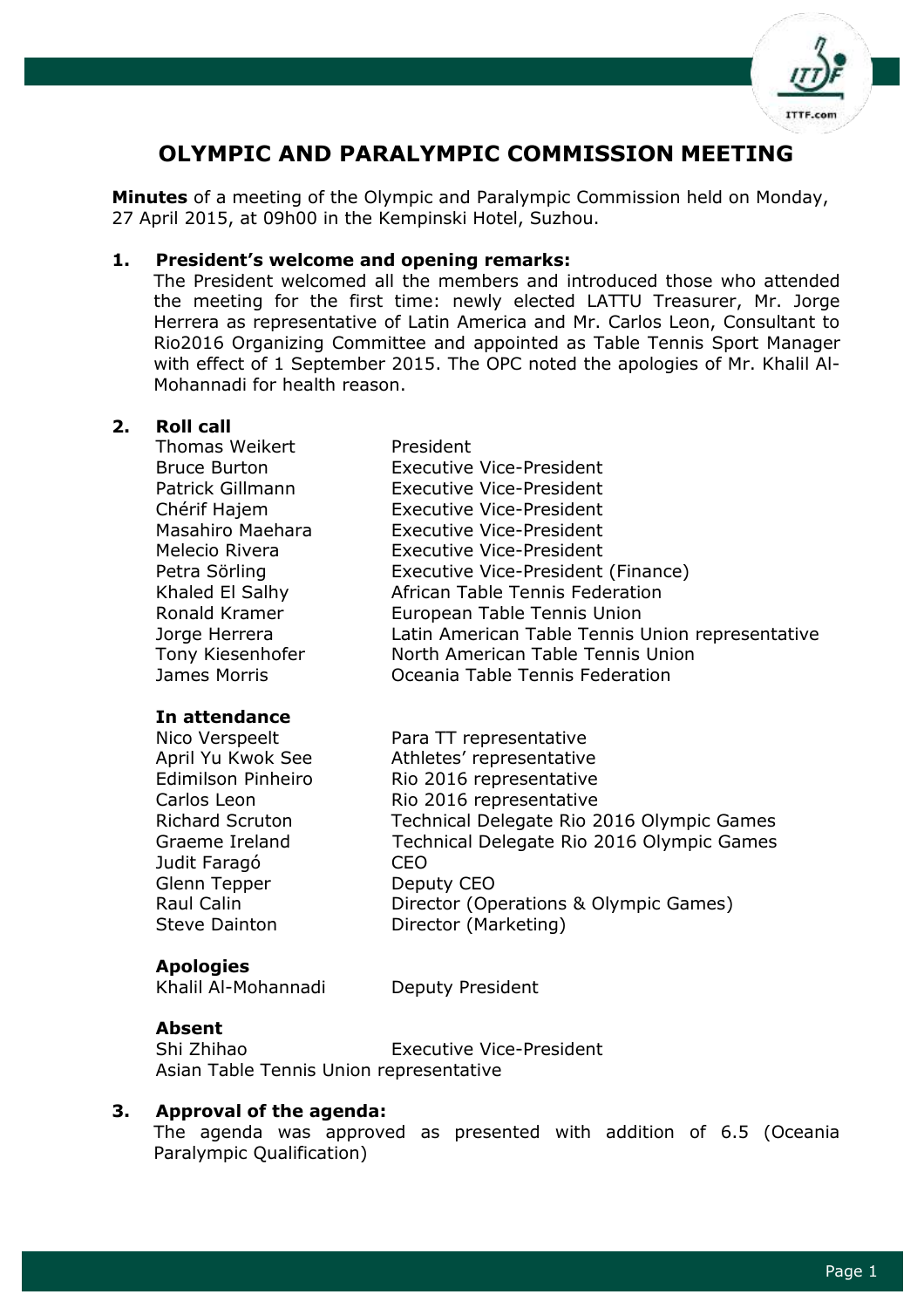

# **OLYMPIC AND PARALYMPIC COMMISSION MEETING**

**Minutes** of a meeting of the Olympic and Paralympic Commission held on Monday, 27 April 2015, at 09h00 in the Kempinski Hotel, Suzhou.

#### **1. President's welcome and opening remarks:**

The President welcomed all the members and introduced those who attended the meeting for the first time: newly elected LATTU Treasurer, Mr. Jorge Herrera as representative of Latin America and Mr. Carlos Leon, Consultant to Rio2016 Organizing Committee and appointed as Table Tennis Sport Manager with effect of 1 September 2015. The OPC noted the apologies of Mr. Khalil Al-Mohannadi for health reason.

#### **2. Roll call**

| Thomas Weikert      | President                                        |
|---------------------|--------------------------------------------------|
| <b>Bruce Burton</b> | <b>Executive Vice-President</b>                  |
| Patrick Gillmann    | <b>Executive Vice-President</b>                  |
| Chérif Hajem        | <b>Executive Vice-President</b>                  |
| Masahiro Maehara    | <b>Executive Vice-President</b>                  |
| Melecio Rivera      | <b>Executive Vice-President</b>                  |
| Petra Sörling       | Executive Vice-President (Finance)               |
| Khaled El Salhy     | African Table Tennis Federation                  |
| Ronald Kramer       | European Table Tennis Union                      |
| Jorge Herrera       | Latin American Table Tennis Union representative |
| Tony Kiesenhofer    | North American Table Tennis Union                |
| James Morris        | Oceania Table Tennis Federation                  |
|                     |                                                  |

#### **In attendance**

Judit Faragó CEO Glenn Tepper Deputy CEO

Nico Verspeelt Para TT representative April Yu Kwok See Athletes' representative Edimilson Pinheiro Rio 2016 representative Carlos Leon Rio 2016 representative Richard Scruton Technical Delegate Rio 2016 Olympic Games Graeme Ireland Technical Delegate Rio 2016 Olympic Games Raul Calin **Director (Operations & Olympic Games)** Steve Dainton **Director (Marketing)** 

## **Apologies**

Khalil Al-Mohannadi Deputy President

#### **Absent**

Shi Zhihao Executive Vice-President Asian Table Tennis Union representative

## **3. Approval of the agenda:**

The agenda was approved as presented with addition of 6.5 (Oceania Paralympic Qualification)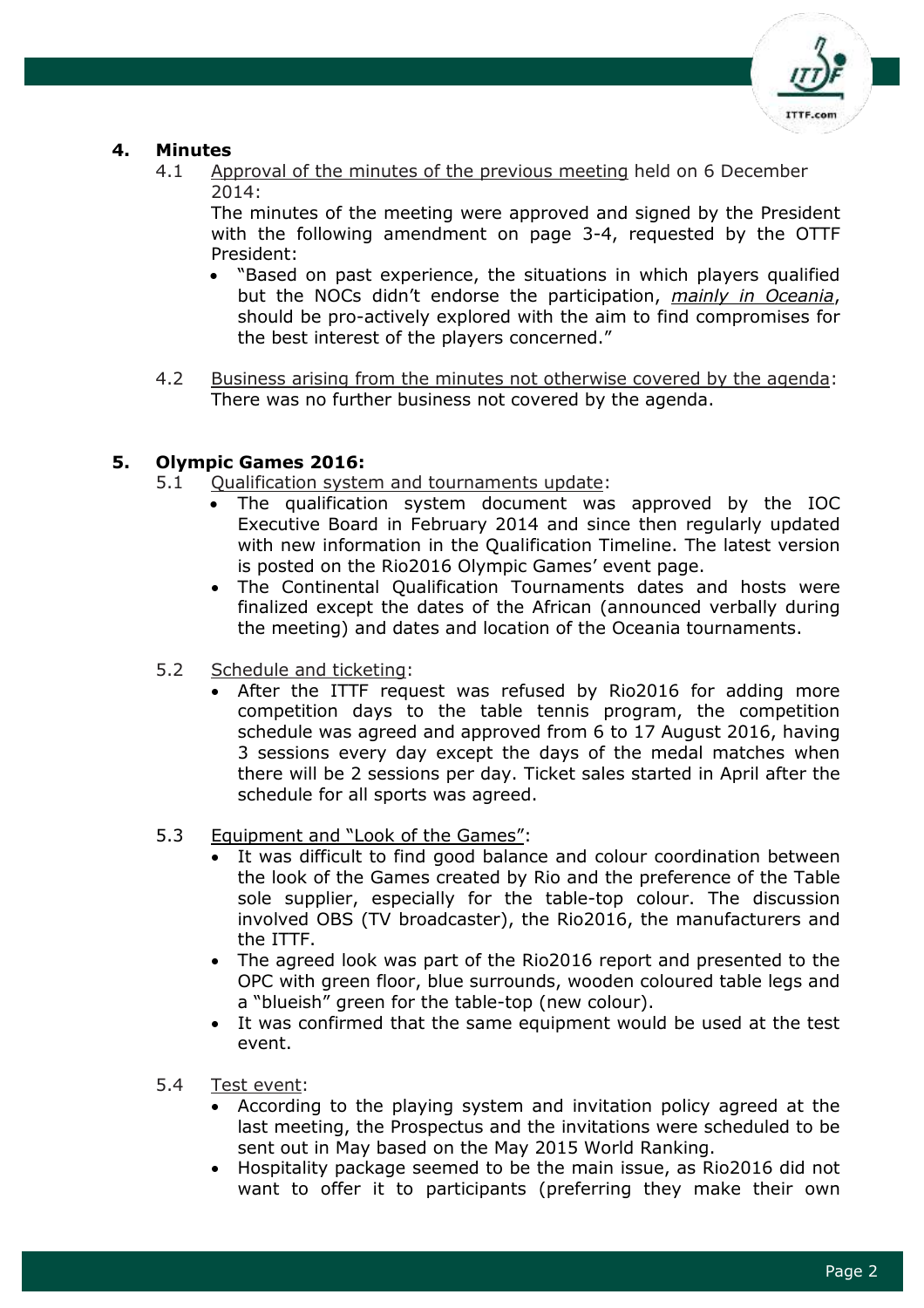

# **4. Minutes**

4.1 Approval of the minutes of the previous meeting held on 6 December 2014:

The minutes of the meeting were approved and signed by the President with the following amendment on page 3-4, requested by the OTTF President:

- "Based on past experience, the situations in which players qualified but the NOCs didn't endorse the participation, *mainly in Oceania*, should be pro-actively explored with the aim to find compromises for the best interest of the players concerned."
- 4.2 Business arising from the minutes not otherwise covered by the agenda: There was no further business not covered by the agenda.

## **5. Olympic Games 2016:**

- 5.1 Qualification system and tournaments update:
	- The qualification system document was approved by the IOC Executive Board in February 2014 and since then regularly updated with new information in the Qualification Timeline. The latest version is posted on the Rio2016 Olympic Games' event page.
	- The Continental Qualification Tournaments dates and hosts were finalized except the dates of the African (announced verbally during the meeting) and dates and location of the Oceania tournaments.
- 5.2 Schedule and ticketing:
	- After the ITTF request was refused by Rio2016 for adding more competition days to the table tennis program, the competition schedule was agreed and approved from 6 to 17 August 2016, having 3 sessions every day except the days of the medal matches when there will be 2 sessions per day. Ticket sales started in April after the schedule for all sports was agreed.
- 5.3 Equipment and "Look of the Games":
	- It was difficult to find good balance and colour coordination between the look of the Games created by Rio and the preference of the Table sole supplier, especially for the table-top colour. The discussion involved OBS (TV broadcaster), the Rio2016, the manufacturers and the ITTF.
	- The agreed look was part of the Rio2016 report and presented to the OPC with green floor, blue surrounds, wooden coloured table legs and a "blueish" green for the table-top (new colour).
	- It was confirmed that the same equipment would be used at the test event.
- 5.4 Test event:
	- According to the playing system and invitation policy agreed at the last meeting, the Prospectus and the invitations were scheduled to be sent out in May based on the May 2015 World Ranking.
	- Hospitality package seemed to be the main issue, as Rio2016 did not want to offer it to participants (preferring they make their own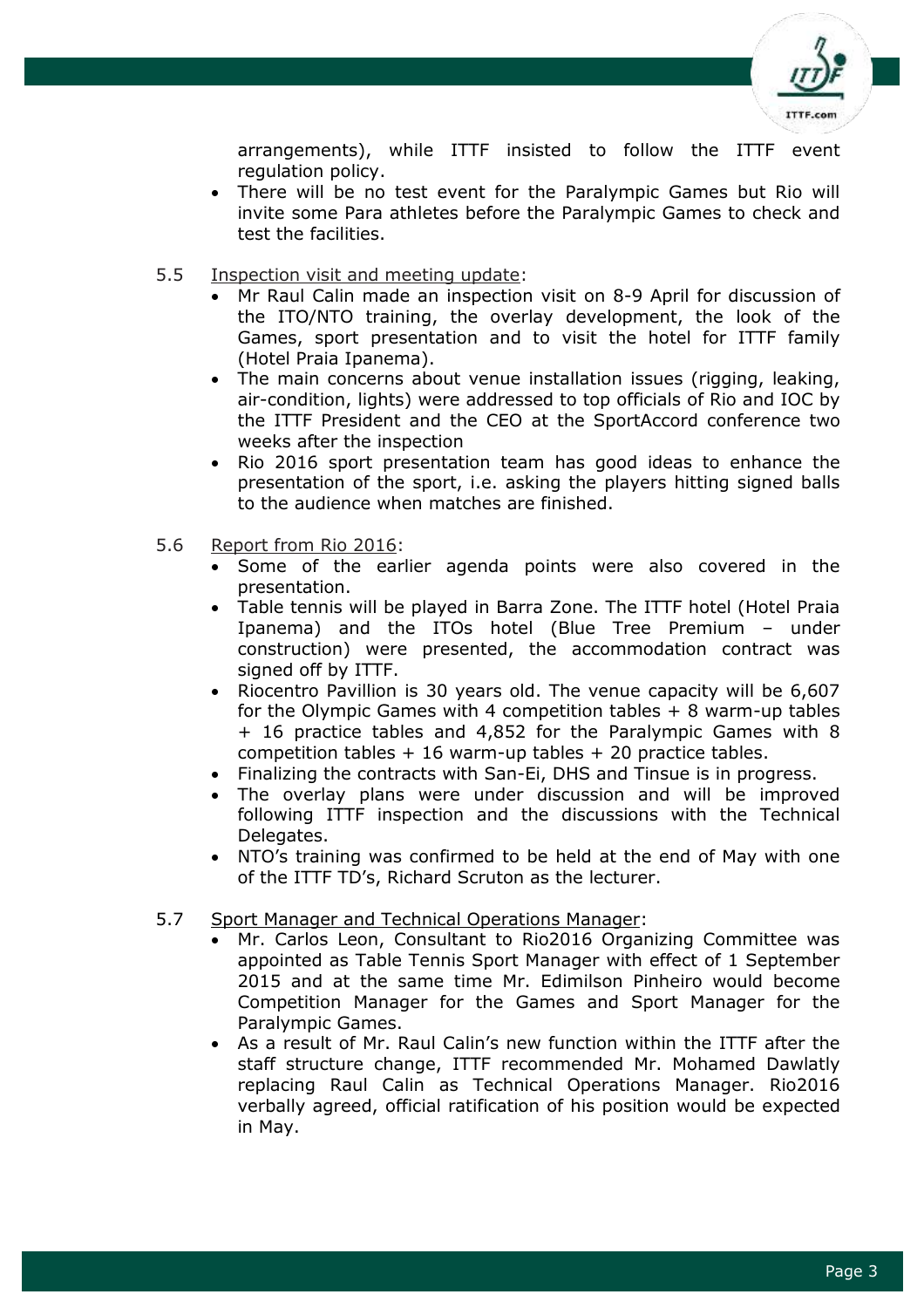

arrangements), while ITTF insisted to follow the ITTF event regulation policy.

- There will be no test event for the Paralympic Games but Rio will invite some Para athletes before the Paralympic Games to check and test the facilities.
- 5.5 Inspection visit and meeting update:
	- Mr Raul Calin made an inspection visit on 8-9 April for discussion of the ITO/NTO training, the overlay development, the look of the Games, sport presentation and to visit the hotel for ITTF family (Hotel Praia Ipanema).
	- The main concerns about venue installation issues (rigging, leaking, air-condition, lights) were addressed to top officials of Rio and IOC by the ITTF President and the CEO at the SportAccord conference two weeks after the inspection
	- Rio 2016 sport presentation team has good ideas to enhance the presentation of the sport, i.e. asking the players hitting signed balls to the audience when matches are finished.
- 5.6 Report from Rio 2016:
	- Some of the earlier agenda points were also covered in the presentation.
	- Table tennis will be played in Barra Zone. The ITTF hotel (Hotel Praia Ipanema) and the ITOs hotel (Blue Tree Premium – under construction) were presented, the accommodation contract was signed off by ITTF.
	- Riocentro Pavillion is 30 years old. The venue capacity will be 6,607 for the Olympic Games with 4 competition tables + 8 warm-up tables + 16 practice tables and 4,852 for the Paralympic Games with 8 competition tables  $+16$  warm-up tables  $+20$  practice tables.
	- Finalizing the contracts with San-Ei, DHS and Tinsue is in progress.
	- The overlay plans were under discussion and will be improved following ITTF inspection and the discussions with the Technical Delegates.
	- NTO's training was confirmed to be held at the end of May with one of the ITTF TD's, Richard Scruton as the lecturer.

## 5.7 Sport Manager and Technical Operations Manager:

- Mr. Carlos Leon, Consultant to Rio2016 Organizing Committee was appointed as Table Tennis Sport Manager with effect of 1 September 2015 and at the same time Mr. Edimilson Pinheiro would become Competition Manager for the Games and Sport Manager for the Paralympic Games.
- As a result of Mr. Raul Calin's new function within the ITTF after the staff structure change, ITTF recommended Mr. Mohamed Dawlatly replacing Raul Calin as Technical Operations Manager. Rio2016 verbally agreed, official ratification of his position would be expected in May.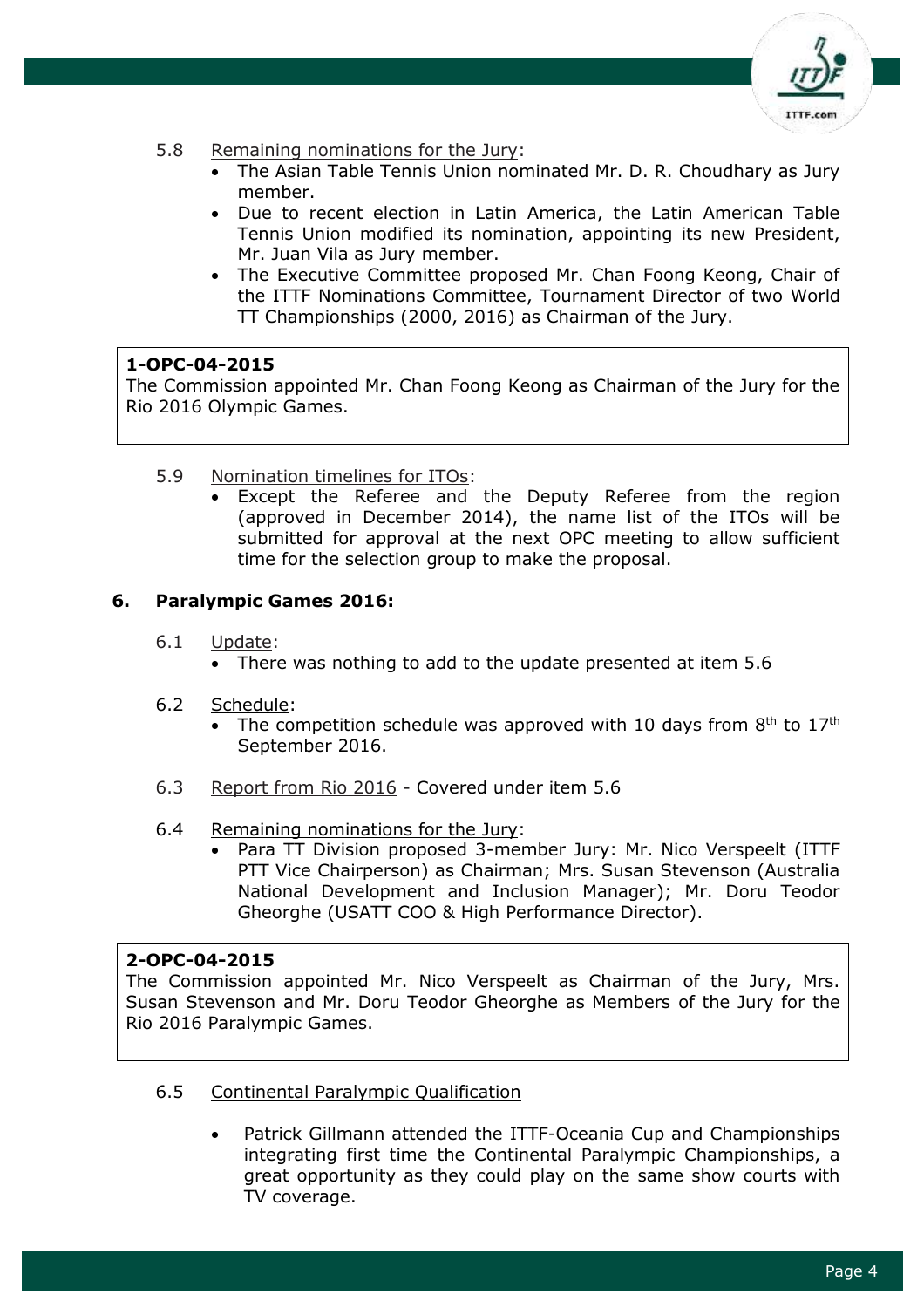

- 5.8 Remaining nominations for the Jury:
	- The Asian Table Tennis Union nominated Mr. D. R. Choudhary as Jury member.
	- Due to recent election in Latin America, the Latin American Table Tennis Union modified its nomination, appointing its new President, Mr. Juan Vila as Jury member.
	- The Executive Committee proposed Mr. Chan Foong Keong, Chair of the ITTF Nominations Committee, Tournament Director of two World TT Championships (2000, 2016) as Chairman of the Jury.

## **1-OPC-04-2015**

The Commission appointed Mr. Chan Foong Keong as Chairman of the Jury for the Rio 2016 Olympic Games.

- 5.9 Nomination timelines for ITOs:
	- Except the Referee and the Deputy Referee from the region (approved in December 2014), the name list of the ITOs will be submitted for approval at the next OPC meeting to allow sufficient time for the selection group to make the proposal.

## **6. Paralympic Games 2016:**

- 6.1 Update:
	- There was nothing to add to the update presented at item 5.6
- 6.2 Schedule:
	- The competition schedule was approved with 10 days from  $8<sup>th</sup>$  to  $17<sup>th</sup>$ September 2016.
- 6.3 Report from Rio 2016 Covered under item 5.6
- 6.4 Remaining nominations for the Jury:
	- Para TT Division proposed 3-member Jury: Mr. Nico Verspeelt (ITTF PTT Vice Chairperson) as Chairman; Mrs. Susan Stevenson (Australia National Development and Inclusion Manager); Mr. Doru Teodor Gheorghe (USATT COO & High Performance Director).

#### **2-OPC-04-2015**

The Commission appointed Mr. Nico Verspeelt as Chairman of the Jury, Mrs. Susan Stevenson and Mr. Doru Teodor Gheorghe as Members of the Jury for the Rio 2016 Paralympic Games.

- 6.5 Continental Paralympic Qualification
	- Patrick Gillmann attended the ITTF-Oceania Cup and Championships integrating first time the Continental Paralympic Championships, a great opportunity as they could play on the same show courts with TV coverage.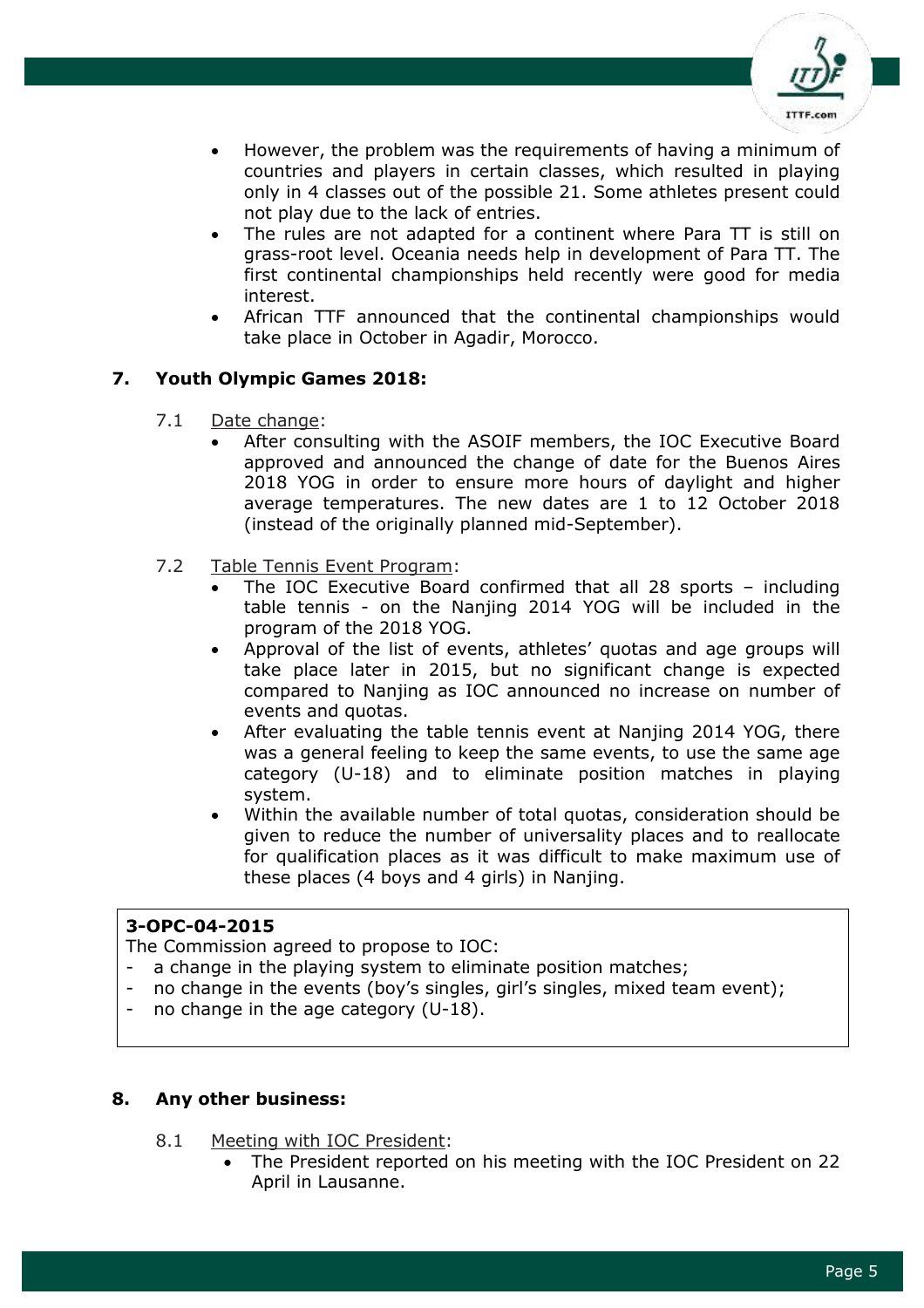

- However, the problem was the requirements of having a minimum of countries and players in certain classes, which resulted in playing only in 4 classes out of the possible 21. Some athletes present could not play due to the lack of entries.
- The rules are not adapted for a continent where Para TT is still on grass-root level. Oceania needs help in development of Para TT. The first continental championships held recently were good for media interest.
- African TTF announced that the continental championships would take place in October in Agadir, Morocco.

# **7. Youth Olympic Games 2018:**

- 7.1 Date change:
	- After consulting with the ASOIF members, the IOC Executive Board approved and announced the change of date for the Buenos Aires 2018 YOG in order to ensure more hours of daylight and higher average temperatures. The new dates are 1 to 12 October 2018 (instead of the originally planned mid-September).
- 7.2 Table Tennis Event Program:
	- The IOC Executive Board confirmed that all 28 sports including table tennis - on the Nanjing 2014 YOG will be included in the program of the 2018 YOG.
	- Approval of the list of events, athletes' quotas and age groups will take place later in 2015, but no significant change is expected compared to Nanjing as IOC announced no increase on number of events and quotas.
	- After evaluating the table tennis event at Nanjing 2014 YOG, there was a general feeling to keep the same events, to use the same age category (U-18) and to eliminate position matches in playing system.
	- Within the available number of total quotas, consideration should be given to reduce the number of universality places and to reallocate for qualification places as it was difficult to make maximum use of these places (4 boys and 4 girls) in Nanjing.

## **3-OPC-04-2015**

The Commission agreed to propose to IOC:

- a change in the playing system to eliminate position matches;
- no change in the events (boy's singles, girl's singles, mixed team event);
- no change in the age category  $(U-18)$ .

#### **8. Any other business:**

- 8.1 Meeting with IOC President:
	- The President reported on his meeting with the IOC President on 22 April in Lausanne.